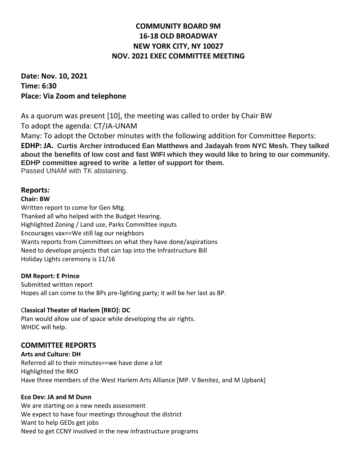# **COMMUNITY BOARD 9M 16-18 OLD BROADWAY NEW YORK CITY, NY 10027 NOV. 2021 EXEC COMMITTEE MEETING**

**Date: Nov. 10, 2021 Time: 6:30 Place: Via Zoom and telephone**

As a quorum was present [10], the meeting was called to order by Chair BW To adopt the agenda: CT/JA-UNAM Many: To adopt the October minutes with the following addition for Committee Reports: **EDHP: JA. Curtis Archer introduced Ean Matthews and Jadayah from NYC Mesh. They talked about the benefits of low cost and fast WIFI which they would like to bring to our community. EDHP committee agreed to write a letter of support for them.** Passed UNAM with TK abstaining.

## **Reports:**

### **Chair: BW**

Written report to come for Gen Mtg. Thanked all who helped with the Budget Hearing. Highlighted Zoning / Land use, Parks Committee inputs Encourages vax==We still lag our neighbors Wants reports from Committees on what they have done/aspirations Need to develope projects that can tap into the Infrastructure Bill Holiday Lights ceremony is 11/16

## **DM Report: E Prince**

Submitted written report Hopes all can come to the BPs pre-lighting party; it will be her last as BP.

## C**lassical Theater of Harlem [RKO]: DC**

Plan would allow use of space while developing the air rights. WHDC will help.

## **COMMITTEE REPORTS**

**Arts and Culture: DH** Referred all to their minutes==we have done a lot Highlighted the RKO Have three members of the West Harlem Arts Alliance [MP. V Benitez, and M Upbank]

## **Eco Dev: JA and M Dunn**

We are starting on a new needs assessment We expect to have four meetings throughout the district Want to help GEDs get jobs Need to get CCNY involved in the new infrastructure programs